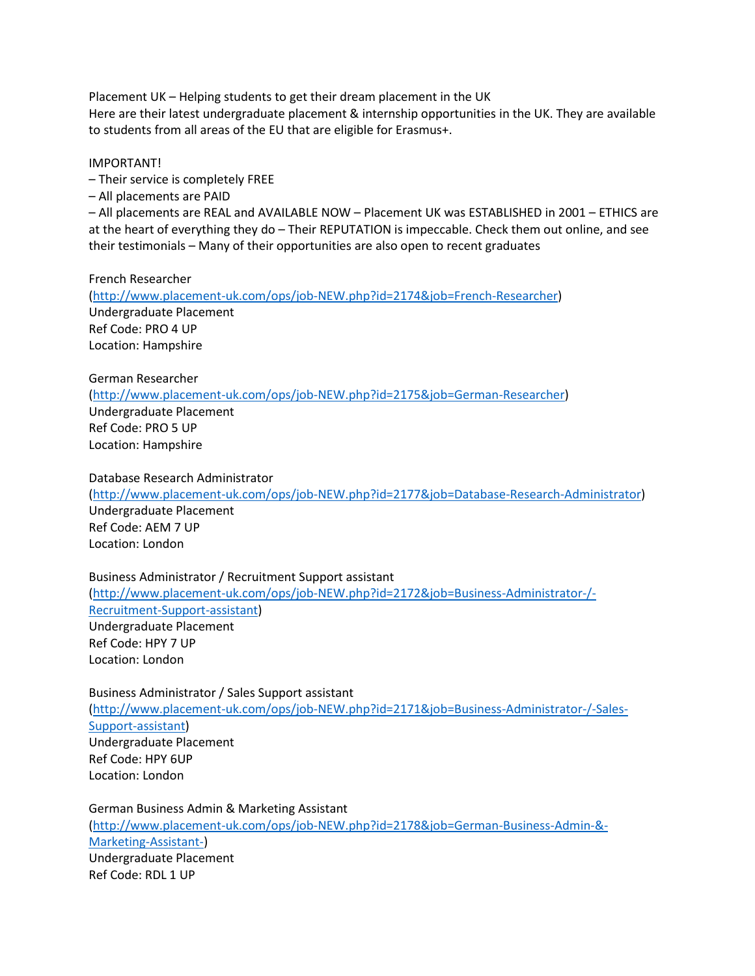Placement UK – Helping students to get their dream placement in the UK Here are their latest undergraduate placement & internship opportunities in the UK. They are available to students from all areas of the EU that are eligible for Erasmus+.

## IMPORTANT!

– Their service is completely FREE

– All placements are PAID

– All placements are REAL and AVAILABLE NOW – Placement UK was ESTABLISHED in 2001 – ETHICS are at the heart of everything they do – Their REPUTATION is impeccable. Check them out online, and see their testimonials – Many of their opportunities are also open to recent graduates

French Researcher

[\(http://www.placement-uk.com/ops/job-NEW.php?id=2174&job=French-Researcher\)](http://www.placement-uk.com/ops/job-NEW.php?id=2174&job=French-Researcher) Undergraduate Placement Ref Code: PRO 4 UP Location: Hampshire

German Researcher

[\(http://www.placement-uk.com/ops/job-NEW.php?id=2175&job=German-Researcher\)](http://www.placement-uk.com/ops/job-NEW.php?id=2175&job=German-Researcher) Undergraduate Placement Ref Code: PRO 5 UP Location: Hampshire

Database Research Administrator [\(http://www.placement-uk.com/ops/job-NEW.php?id=2177&job=Database-Research-Administrator\)](http://www.placement-uk.com/ops/job-NEW.php?id=2177&job=Database-Research-Administrator) Undergraduate Placement Ref Code: AEM 7 UP Location: London

Business Administrator / Recruitment Support assistant [\(http://www.placement-uk.com/ops/job-NEW.php?id=2172&job=Business-Administrator-/-](http://www.placement-uk.com/ops/job-NEW.php?id=2172&job=Business-Administrator-/-Recruitment-Support-assistant) [Recruitment-Support-assistant\)](http://www.placement-uk.com/ops/job-NEW.php?id=2172&job=Business-Administrator-/-Recruitment-Support-assistant) Undergraduate Placement Ref Code: HPY 7 UP Location: London

Business Administrator / Sales Support assistant [\(http://www.placement-uk.com/ops/job-NEW.php?id=2171&job=Business-Administrator-/-Sales-](http://www.placement-uk.com/ops/job-NEW.php?id=2171&job=Business-Administrator-/-Sales-Support-assistant)[Support-assistant\)](http://www.placement-uk.com/ops/job-NEW.php?id=2171&job=Business-Administrator-/-Sales-Support-assistant) Undergraduate Placement Ref Code: HPY 6UP Location: London

German Business Admin & Marketing Assistant [\(http://www.placement-uk.com/ops/job-NEW.php?id=2178&job=German-Business-Admin-&-](http://www.placement-uk.com/ops/job-NEW.php?id=2178&job=German-Business-Admin-&-Marketing-Assistant-) [Marketing-Assistant-\)](http://www.placement-uk.com/ops/job-NEW.php?id=2178&job=German-Business-Admin-&-Marketing-Assistant-) Undergraduate Placement Ref Code: RDL 1 UP